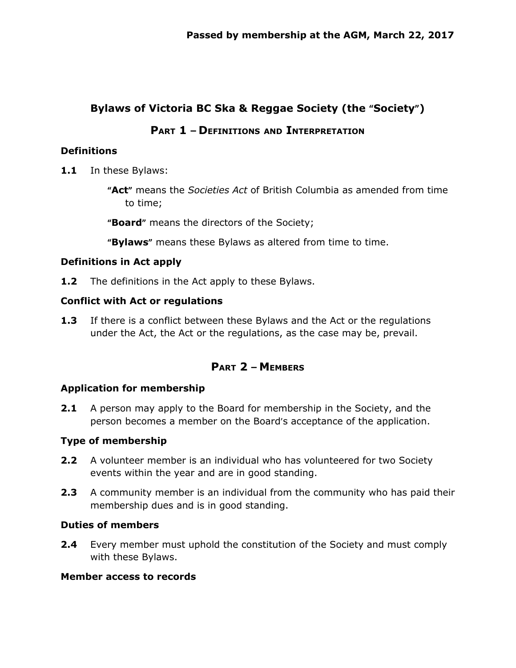# **Bylaws of Victoria BC Ska & Reggae Society (the "Society")**

# **PART 1 – DEFINITIONS AND INTERPRETATION**

## **Definitions**

- **1.1** In these Bylaws:
	- **"Act"** means the *Societies Act* of British Columbia as amended from time to time;

**"Board"** means the directors of the Society;

**"Bylaws"** means these Bylaws as altered from time to time.

# **Definitions in Act apply**

**1.2** The definitions in the Act apply to these Bylaws.

# **Conflict with Act or regulations**

**1.3** If there is a conflict between these Bylaws and the Act or the regulations under the Act, the Act or the regulations, as the case may be, prevail.

# **PART 2 – MEMBERS**

# **Application for membership**

**2.1** A person may apply to the Board for membership in the Society, and the person becomes a member on the Board's acceptance of the application.

# **Type of membership**

- **2.2** A volunteer member is an individual who has volunteered for two Society events within the year and are in good standing.
- **2.3** A community member is an individual from the community who has paid their membership dues and is in good standing.

### **Duties of members**

**2.4** Every member must uphold the constitution of the Society and must comply with these Bylaws.

# **Member access to records**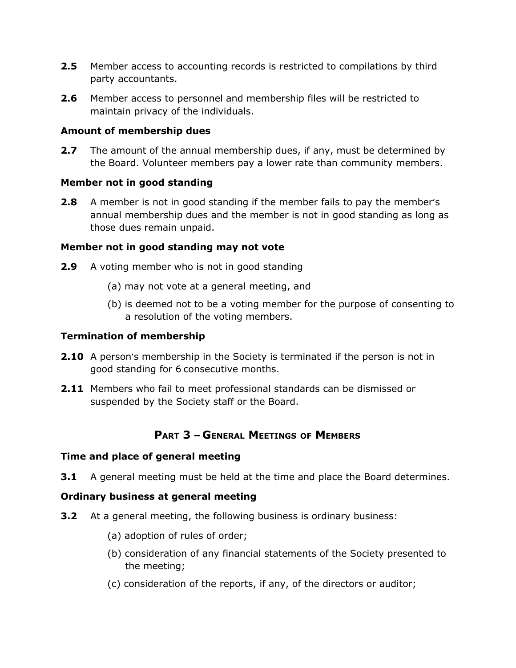- **2.5** Member access to accounting records is restricted to compilations by third party accountants.
- **2.6** Member access to personnel and membership files will be restricted to maintain privacy of the individuals.

### **Amount of membership dues**

**2.7** The amount of the annual membership dues, if any, must be determined by the Board. Volunteer members pay a lower rate than community members.

## **Member not in good standing**

**2.8** A member is not in good standing if the member fails to pay the member's annual membership dues and the member is not in good standing as long as those dues remain unpaid.

## **Member not in good standing may not vote**

- **2.9** A voting member who is not in good standing
	- (a) may not vote at a general meeting, and
	- (b) is deemed not to be a voting member for the purpose of consenting to a resolution of the voting members.

### **Termination of membership**

- **2.10** A person's membership in the Society is terminated if the person is not in good standing for 6 consecutive months.
- **2.11** Members who fail to meet professional standards can be dismissed or suspended by the Society staff or the Board.

# **PART 3 – GENERAL MEETINGS OF MEMBERS**

### **Time and place of general meeting**

**3.1** A general meeting must be held at the time and place the Board determines.

# **Ordinary business at general meeting**

- **3.2** At a general meeting, the following business is ordinary business:
	- (a) adoption of rules of order;
	- (b) consideration of any financial statements of the Society presented to the meeting;
	- (c) consideration of the reports, if any, of the directors or auditor;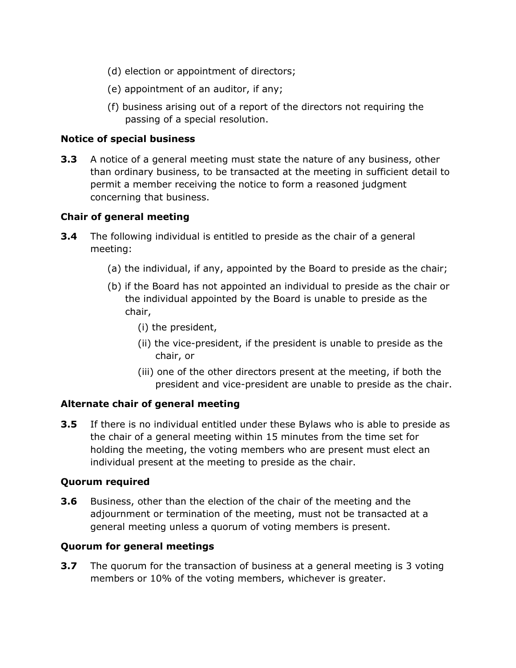- (d) election or appointment of directors;
- (e) appointment of an auditor, if any;
- (f) business arising out of a report of the directors not requiring the passing of a special resolution.

## **Notice of special business**

**3.3** A notice of a general meeting must state the nature of any business, other than ordinary business, to be transacted at the meeting in sufficient detail to permit a member receiving the notice to form a reasoned judgment concerning that business.

## **Chair of general meeting**

- **3.4** The following individual is entitled to preside as the chair of a general meeting:
	- (a) the individual, if any, appointed by the Board to preside as the chair;
	- (b) if the Board has not appointed an individual to preside as the chair or the individual appointed by the Board is unable to preside as the chair,
		- (i) the president,
		- (ii) the vice-president, if the president is unable to preside as the chair, or
		- (iii) one of the other directors present at the meeting, if both the president and vice-president are unable to preside as the chair.

# **Alternate chair of general meeting**

**3.5** If there is no individual entitled under these Bylaws who is able to preside as the chair of a general meeting within 15 minutes from the time set for holding the meeting, the voting members who are present must elect an individual present at the meeting to preside as the chair.

### **Quorum required**

**3.6** Business, other than the election of the chair of the meeting and the adjournment or termination of the meeting, must not be transacted at a general meeting unless a quorum of voting members is present.

# **Quorum for general meetings**

**3.7** The quorum for the transaction of business at a general meeting is 3 voting members or 10% of the voting members, whichever is greater.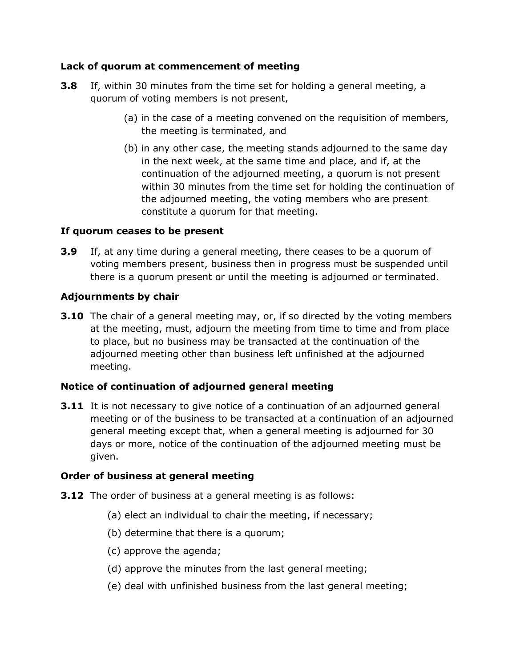## **Lack of quorum at commencement of meeting**

- **3.8** If, within 30 minutes from the time set for holding a general meeting, a quorum of voting members is not present,
	- (a) in the case of a meeting convened on the requisition of members, the meeting is terminated, and
	- (b) in any other case, the meeting stands adjourned to the same day in the next week, at the same time and place, and if, at the continuation of the adjourned meeting, a quorum is not present within 30 minutes from the time set for holding the continuation of the adjourned meeting, the voting members who are present constitute a quorum for that meeting.

## **If quorum ceases to be present**

**3.9** If, at any time during a general meeting, there ceases to be a quorum of voting members present, business then in progress must be suspended until there is a quorum present or until the meeting is adjourned or terminated.

## **Adjournments by chair**

**3.10** The chair of a general meeting may, or, if so directed by the voting members at the meeting, must, adjourn the meeting from time to time and from place to place, but no business may be transacted at the continuation of the adjourned meeting other than business left unfinished at the adjourned meeting.

# **Notice of continuation of adjourned general meeting**

**3.11** It is not necessary to give notice of a continuation of an adjourned general meeting or of the business to be transacted at a continuation of an adjourned general meeting except that, when a general meeting is adjourned for 30 days or more, notice of the continuation of the adjourned meeting must be given.

### **Order of business at general meeting**

- **3.12** The order of business at a general meeting is as follows:
	- (a) elect an individual to chair the meeting, if necessary;
	- (b) determine that there is a quorum;
	- (c) approve the agenda;
	- (d) approve the minutes from the last general meeting;
	- (e) deal with unfinished business from the last general meeting;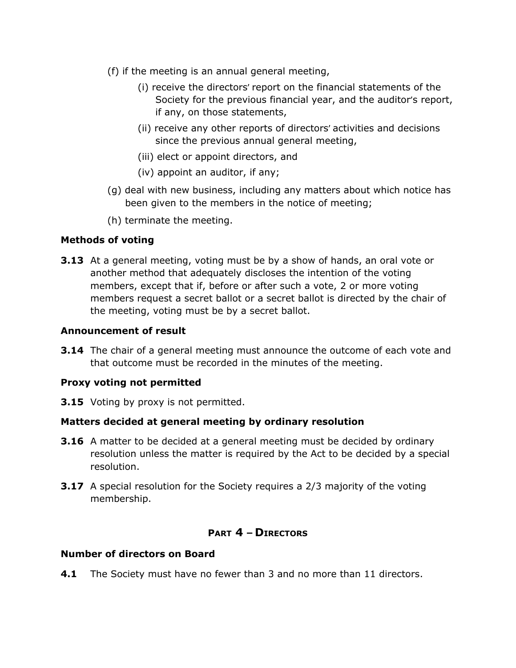- (f) if the meeting is an annual general meeting,
	- (i) receive the directors' report on the financial statements of the Society for the previous financial year, and the auditor's report, if any, on those statements,
	- (ii) receive any other reports of directors' activities and decisions since the previous annual general meeting,
	- (iii) elect or appoint directors, and
	- (iv) appoint an auditor, if any;
- (g) deal with new business, including any matters about which notice has been given to the members in the notice of meeting;
- (h) terminate the meeting.

# **Methods of voting**

**3.13** At a general meeting, voting must be by a show of hands, an oral vote or another method that adequately discloses the intention of the voting members, except that if, before or after such a vote, 2 or more voting members request a secret ballot or a secret ballot is directed by the chair of the meeting, voting must be by a secret ballot.

## **Announcement of result**

**3.14** The chair of a general meeting must announce the outcome of each vote and that outcome must be recorded in the minutes of the meeting.

# **Proxy voting not permitted**

**3.15** Voting by proxy is not permitted.

# **Matters decided at general meeting by ordinary resolution**

- **3.16** A matter to be decided at a general meeting must be decided by ordinary resolution unless the matter is required by the Act to be decided by a special resolution.
- **3.17** A special resolution for the Society requires a 2/3 majority of the voting membership.

# **<sup>P</sup>ART 4 – DIRECTORS**

### **Number of directors on Board**

**4.1** The Society must have no fewer than 3 and no more than 11 directors.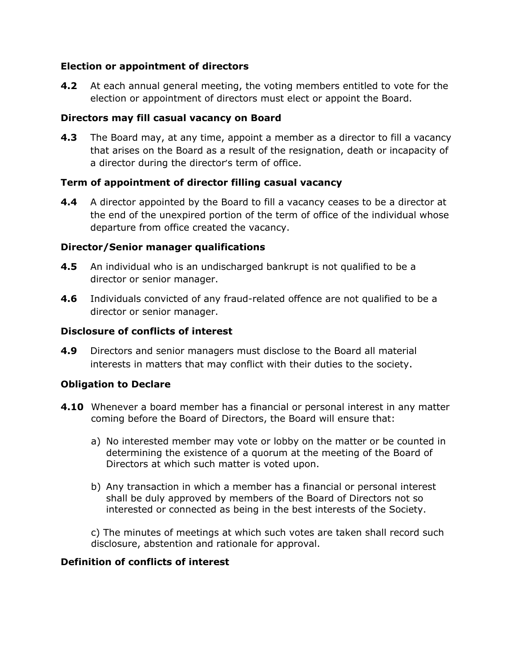### **Election or appointment of directors**

**4.2** At each annual general meeting, the voting members entitled to vote for the election or appointment of directors must elect or appoint the Board.

### **Directors may fill casual vacancy on Board**

**4.3** The Board may, at any time, appoint a member as a director to fill a vacancy that arises on the Board as a result of the resignation, death or incapacity of a director during the director's term of office.

### **Term of appointment of director filling casual vacancy**

**4.4** A director appointed by the Board to fill a vacancy ceases to be a director at the end of the unexpired portion of the term of office of the individual whose departure from office created the vacancy.

#### **Director/Senior manager qualifications**

- **4.5** An individual who is an undischarged bankrupt is not qualified to be a director or senior manager.
- **4.6** Individuals convicted of any fraud-related offence are not qualified to be a director or senior manager.

#### **Disclosure of conflicts of interest**

**4.9** Directors and senior managers must disclose to the Board all material interests in matters that may conflict with their duties to the society.

### **Obligation to Declare**

- **4.10** Whenever a board member has a financial or personal interest in any matter coming before the Board of Directors, the Board will ensure that:
	- a) No interested member may vote or lobby on the matter or be counted in determining the existence of a quorum at the meeting of the Board of Directors at which such matter is voted upon.
	- b) Any transaction in which a member has a financial or personal interest shall be duly approved by members of the Board of Directors not so interested or connected as being in the best interests of the Society.

c) The minutes of meetings at which such votes are taken shall record such disclosure, abstention and rationale for approval.

#### **Definition of conflicts of interest**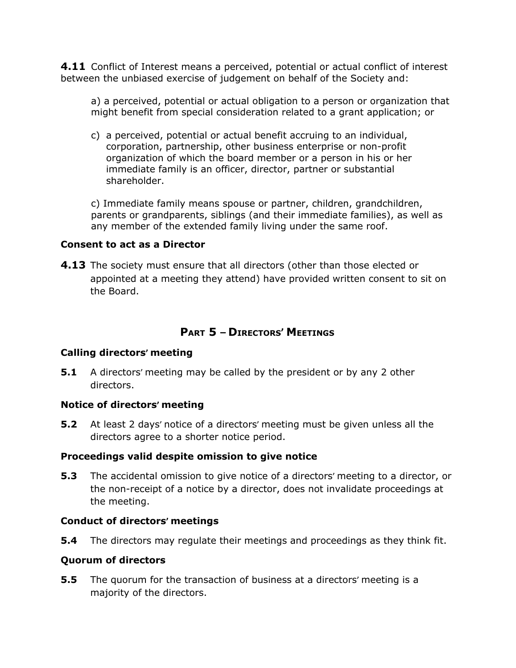**4.11** Conflict of Interest means a perceived, potential or actual conflict of interest between the unbiased exercise of judgement on behalf of the Society and:

a) a perceived, potential or actual obligation to a person or organization that might benefit from special consideration related to a grant application; or

c) a perceived, potential or actual benefit accruing to an individual, corporation, partnership, other business enterprise or non-profit organization of which the board member or a person in his or her immediate family is an officer, director, partner or substantial shareholder.

c) Immediate family means spouse or partner, children, grandchildren, parents or grandparents, siblings (and their immediate families), as well as any member of the extended family living under the same roof.

### **Consent to act as a Director**

**4.13** The society must ensure that all directors (other than those elected or appointed at a meeting they attend) have provided written consent to sit on the Board.

# **PART 5 – DIRECTORS' MEETINGS**

### **Calling directors' meeting**

**5.1** A directors' meeting may be called by the president or by any 2 other directors.

#### **Notice of directors' meeting**

**5.2** At least 2 days' notice of a directors' meeting must be given unless all the directors agree to a shorter notice period.

### **Proceedings valid despite omission to give notice**

**5.3** The accidental omission to give notice of a directors' meeting to a director, or the non-receipt of a notice by a director, does not invalidate proceedings at the meeting.

### **Conduct of directors' meetings**

**5.4** The directors may regulate their meetings and proceedings as they think fit.

#### **Quorum of directors**

**5.5** The quorum for the transaction of business at a directors' meeting is a majority of the directors.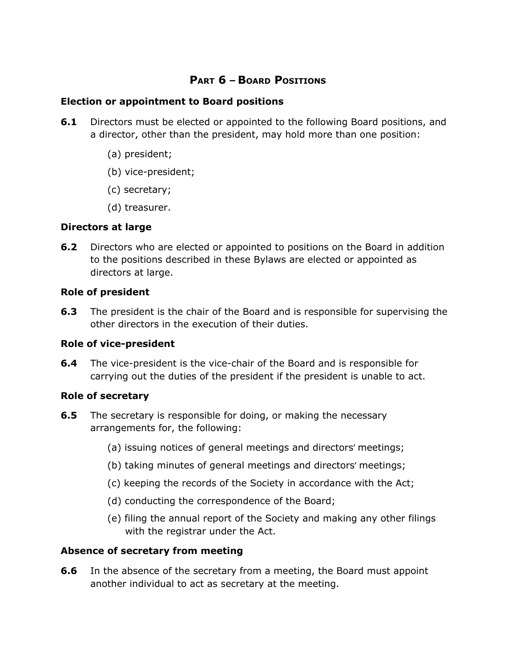# **PART 6 – BOARD POSITIONS**

### **Election or appointment to Board positions**

- **6.1** Directors must be elected or appointed to the following Board positions, and a director, other than the president, may hold more than one position:
	- (a) president;
	- (b) vice-president;
	- (c) secretary;
	- (d) treasurer.

## **Directors at large**

**6.2** Directors who are elected or appointed to positions on the Board in addition to the positions described in these Bylaws are elected or appointed as directors at large.

## **Role of president**

**6.3** The president is the chair of the Board and is responsible for supervising the other directors in the execution of their duties.

### **Role of vice-president**

**6.4** The vice-president is the vice-chair of the Board and is responsible for carrying out the duties of the president if the president is unable to act.

### **Role of secretary**

- **6.5** The secretary is responsible for doing, or making the necessary arrangements for, the following:
	- (a) issuing notices of general meetings and directors' meetings;
	- (b) taking minutes of general meetings and directors' meetings;
	- (c) keeping the records of the Society in accordance with the Act;
	- (d) conducting the correspondence of the Board;
	- (e) filing the annual report of the Society and making any other filings with the registrar under the Act.

# **Absence of secretary from meeting**

**6.6** In the absence of the secretary from a meeting, the Board must appoint another individual to act as secretary at the meeting.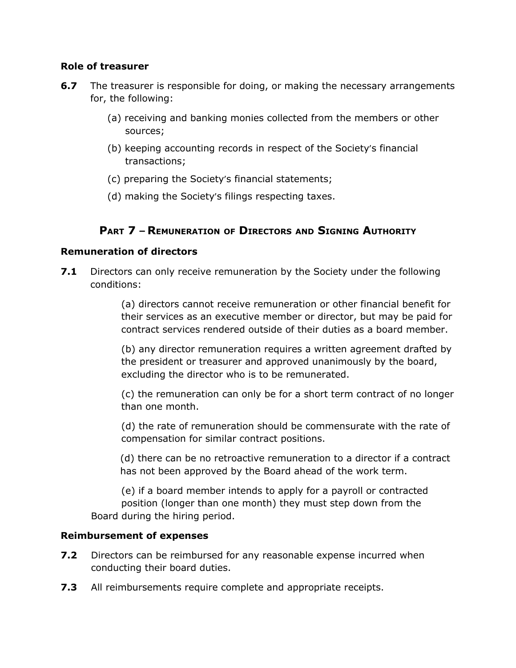### **Role of treasurer**

- **6.7** The treasurer is responsible for doing, or making the necessary arrangements for, the following:
	- (a) receiving and banking monies collected from the members or other sources;
	- (b) keeping accounting records in respect of the Society's financial transactions;
	- (c) preparing the Society's financial statements;
	- (d) making the Society's filings respecting taxes.

# **PART 7 – REMUNERATION OF DIRECTORS AND SIGNING AUTHORITY**

### **Remuneration of directors**

**7.1** Directors can only receive remuneration by the Society under the following conditions:

> (a) directors cannot receive remuneration or other financial benefit for their services as an executive member or director, but may be paid for contract services rendered outside of their duties as a board member.

> (b) any director remuneration requires a written agreement drafted by the president or treasurer and approved unanimously by the board, excluding the director who is to be remunerated.

> (c) the remuneration can only be for a short term contract of no longer than one month.

> (d) the rate of remuneration should be commensurate with the rate of compensation for similar contract positions.

> (d) there can be no retroactive remuneration to a director if a contract has not been approved by the Board ahead of the work term.

(e) if a board member intends to apply for a payroll or contracted position (longer than one month) they must step down from the Board during the hiring period.

# **Reimbursement of expenses**

- **7.2** Directors can be reimbursed for any reasonable expense incurred when conducting their board duties.
- **7.3** All reimbursements require complete and appropriate receipts.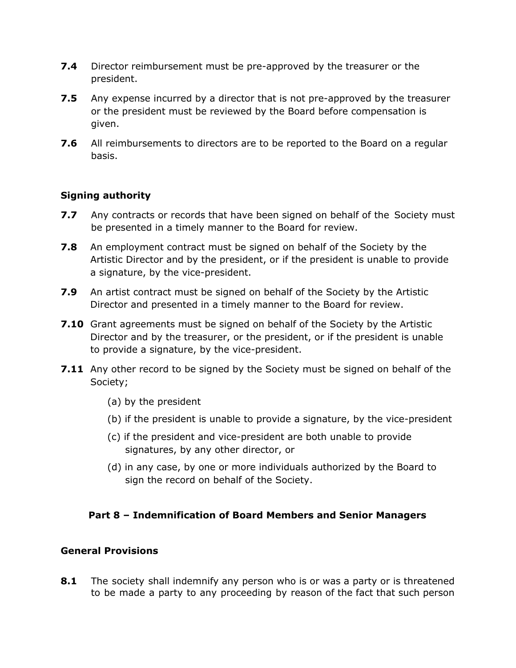- **7.4** Director reimbursement must be pre-approved by the treasurer or the president.
- **7.5** Any expense incurred by a director that is not pre-approved by the treasurer or the president must be reviewed by the Board before compensation is given.
- **7.6** All reimbursements to directors are to be reported to the Board on a regular basis.

# **Signing authority**

- **7.7** Any contracts or records that have been signed on behalf of the Society must be presented in a timely manner to the Board for review.
- **7.8** An employment contract must be signed on behalf of the Society by the Artistic Director and by the president, or if the president is unable to provide a signature, by the vice-president.
- **7.9** An artist contract must be signed on behalf of the Society by the Artistic Director and presented in a timely manner to the Board for review.
- **7.10** Grant agreements must be signed on behalf of the Society by the Artistic Director and by the treasurer, or the president, or if the president is unable to provide a signature, by the vice-president.
- **7.11** Any other record to be signed by the Society must be signed on behalf of the Society;
	- (a) by the president
	- (b) if the president is unable to provide a signature, by the vice-president
	- (c) if the president and vice-president are both unable to provide signatures, by any other director, or
	- (d) in any case, by one or more individuals authorized by the Board to sign the record on behalf of the Society.

# **Part 8 – Indemnification of Board Members and Senior Managers**

### **General Provisions**

**8.1** The society shall indemnify any person who is or was a party or is threatened to be made a party to any proceeding by reason of the fact that such person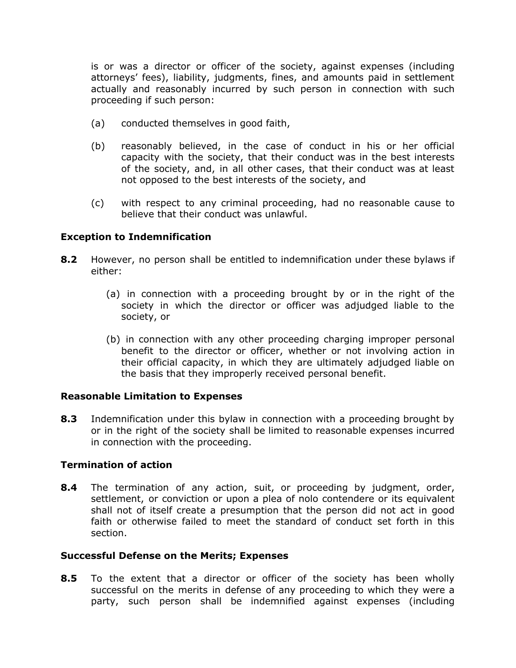is or was a director or officer of the society, against expenses (including attorneys' fees), liability, judgments, fines, and amounts paid in settlement actually and reasonably incurred by such person in connection with such proceeding if such person:

- (a) conducted themselves in good faith,
- (b) reasonably believed, in the case of conduct in his or her official capacity with the society, that their conduct was in the best interests of the society, and, in all other cases, that their conduct was at least not opposed to the best interests of the society, and
- (c) with respect to any criminal proceeding, had no reasonable cause to believe that their conduct was unlawful.

#### **Exception to Indemnification**

- **8.2** However, no person shall be entitled to indemnification under these bylaws if either:
	- (a) in connection with a proceeding brought by or in the right of the society in which the director or officer was adjudged liable to the society, or
	- (b) in connection with any other proceeding charging improper personal benefit to the director or officer, whether or not involving action in their official capacity, in which they are ultimately adjudged liable on the basis that they improperly received personal benefit.

#### **Reasonable Limitation to Expenses**

**8.3** Indemnification under this bylaw in connection with a proceeding brought by or in the right of the society shall be limited to reasonable expenses incurred in connection with the proceeding.

#### **Termination of action**

**8.4** The termination of any action, suit, or proceeding by judgment, order, settlement, or conviction or upon a plea of nolo contendere or its equivalent shall not of itself create a presumption that the person did not act in good faith or otherwise failed to meet the standard of conduct set forth in this section.

#### **Successful Defense on the Merits; Expenses**

**8.5** To the extent that a director or officer of the society has been wholly successful on the merits in defense of any proceeding to which they were a party, such person shall be indemnified against expenses (including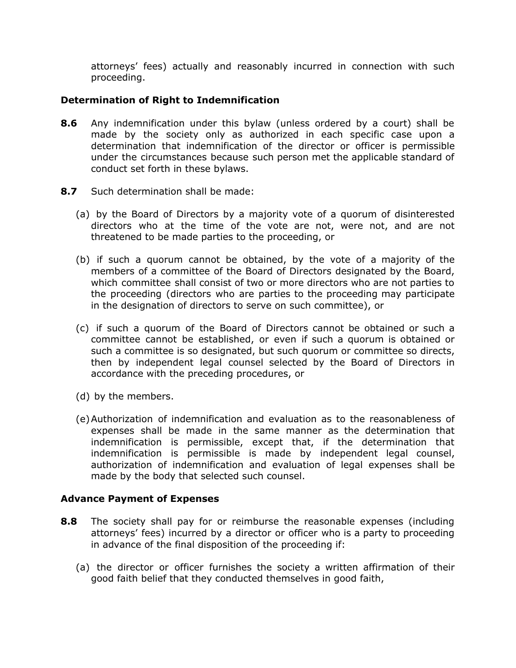attorneys' fees) actually and reasonably incurred in connection with such proceeding.

### **Determination of Right to Indemnification**

- **8.6** Any indemnification under this bylaw (unless ordered by a court) shall be made by the society only as authorized in each specific case upon a determination that indemnification of the director or officer is permissible under the circumstances because such person met the applicable standard of conduct set forth in these bylaws.
- **8.7** Such determination shall be made:
	- (a) by the Board of Directors by a majority vote of a quorum of disinterested directors who at the time of the vote are not, were not, and are not threatened to be made parties to the proceeding, or
	- (b) if such a quorum cannot be obtained, by the vote of a majority of the members of a committee of the Board of Directors designated by the Board, which committee shall consist of two or more directors who are not parties to the proceeding (directors who are parties to the proceeding may participate in the designation of directors to serve on such committee), or
	- (c) if such a quorum of the Board of Directors cannot be obtained or such a committee cannot be established, or even if such a quorum is obtained or such a committee is so designated, but such quorum or committee so directs, then by independent legal counsel selected by the Board of Directors in accordance with the preceding procedures, or
	- (d) by the members.
	- (e)Authorization of indemnification and evaluation as to the reasonableness of expenses shall be made in the same manner as the determination that indemnification is permissible, except that, if the determination that indemnification is permissible is made by independent legal counsel, authorization of indemnification and evaluation of legal expenses shall be made by the body that selected such counsel.

### **Advance Payment of Expenses**

- **8.8** The society shall pay for or reimburse the reasonable expenses (including attorneys' fees) incurred by a director or officer who is a party to proceeding in advance of the final disposition of the proceeding if:
	- (a) the director or officer furnishes the society a written affirmation of their good faith belief that they conducted themselves in good faith,